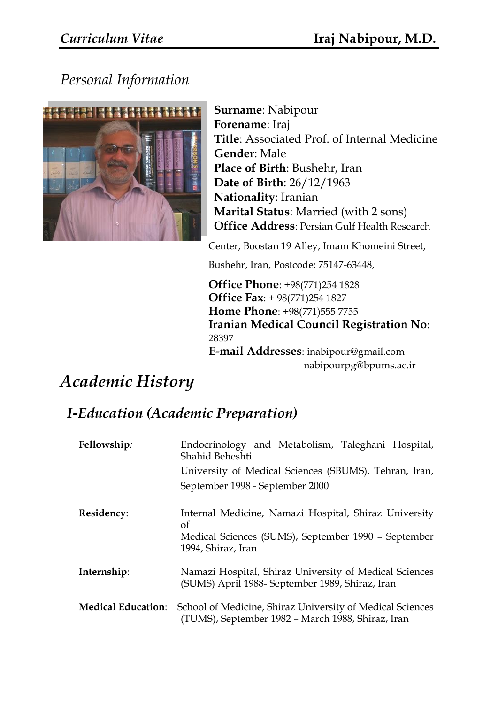# *Personal Information*



**Surname**: Nabipour **Forename**: Iraj **Title**: Associated Prof. of Internal Medicine **Gender**: Male **Place of Birth**: Bushehr, Iran **Date of Birth**: 26/12/1963 **Nationality**: Iranian **Marital Status**: Married (with 2 sons) **Office Address**: Persian Gulf Health Research

Center, Boostan 19 Alley, Imam Khomeini Street,

Bushehr, Iran, Postcode: 75147-63448,

**Office Phone**: +98(771)254 1828 **Office Fax**: + 98(771)254 1827 **Home Phone**: +98(771)555 7755 **Iranian Medical Council Registration No**: 28397 **E-mail Addresses**: inabipour@gmail.com nabipourpg@bpums.ac.ir

# *Academic History*

## *I-Education (Academic Preparation)*

| Fellowship:               | Endocrinology and Metabolism, Taleghani Hospital,<br>Shahid Beheshti                                           |
|---------------------------|----------------------------------------------------------------------------------------------------------------|
|                           | University of Medical Sciences (SBUMS), Tehran, Iran,                                                          |
|                           | September 1998 - September 2000                                                                                |
| Residency:                | Internal Medicine, Namazi Hospital, Shiraz University<br>of                                                    |
|                           | Medical Sciences (SUMS), September 1990 - September<br>1994, Shiraz, Iran                                      |
| Internship:               | Namazi Hospital, Shiraz University of Medical Sciences<br>(SUMS) April 1988- September 1989, Shiraz, Iran      |
| <b>Medical Education:</b> | School of Medicine, Shiraz University of Medical Sciences<br>(TUMS), September 1982 – March 1988, Shiraz, Iran |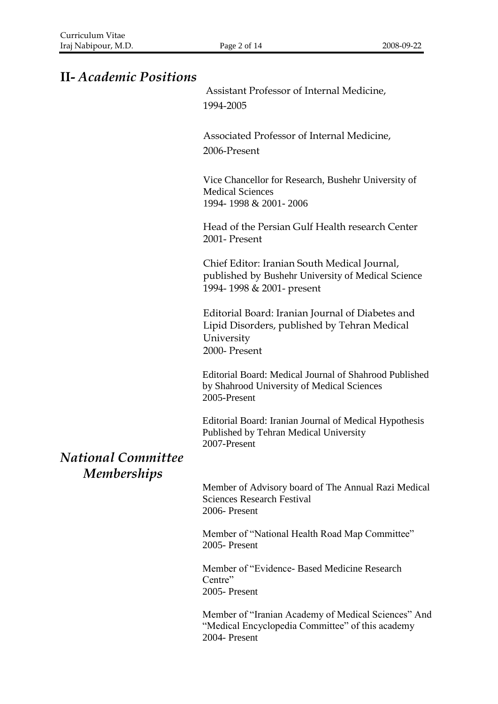## **II-** *Academic Positions*

Assistant Professor of Internal Medicine, 1994-2005

Associated Professor of Internal Medicine, 2006-Present

Vice Chancellor for Research, Bushehr University of Medical Sciences 1994- 1998 & 2001- 2006

Head of the Persian Gulf Health research Center 2001- Present

Chief Editor: Iranian South Medical Journal, published by Bushehr University of Medical Science 1994- 1998 & 2001- present

Editorial Board: Iranian Journal of Diabetes and Lipid Disorders, published by Tehran Medical University 2000- Present

Editorial Board: Medical Journal of Shahrood Published by Shahrood University of Medical Sciences 2005-Present

Editorial Board: Iranian Journal of Medical Hypothesis Published by Tehran Medical University 2007-Present

*National Committee Memberships*

> Member of Advisory board of The Annual Razi Medical Sciences Research Festival 2006- Present

Member of "National Health Road Map Committee" 2005- Present

Member of "Evidence- Based Medicine Research Centre" 2005- Present

Member of "Iranian Academy of Medical Sciences" And "Medical Encyclopedia Committee" of this academy 2004- Present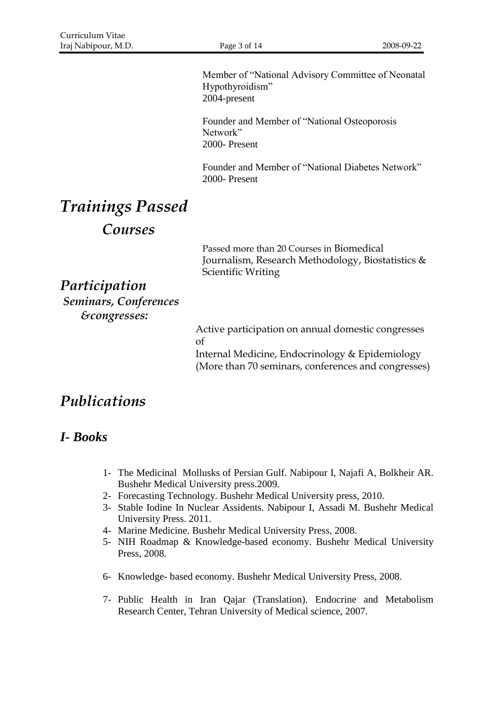Member of "National Advisory Committee of Neonatal Hypothyroidism" 2004-present

Founder and Member of "National Osteoporosis Network" 2000- Present

Founder and Member of "National Diabetes Network" 2000- Present

# *Trainings Passed*

*Courses* 

Passed more than 20 Courses in Biomedical Journalism, Research Methodology, Biostatistics & Scientific Writing

*Participation Seminars, Conferences &congresses:*

> Active participation on annual domestic congresses of Internal Medicine, Endocrinology & Epidemiology (More than 70 seminars, conferences and congresses)

## *Publications*

## *I- Books*

- 1- The Medicinal Mollusks of Persian Gulf. Nabipour I, Najafi A, Bolkheir AR. Bushehr Medical University press.2009.
- 2- Forecasting Technology. Bushehr Medical University press, 2010.
- 3- Stable Iodine In Nuclear Assidents. Nabipour I, Assadi M. Bushehr Medical University Press. 2011.
- 4- Marine Medicine. Bushehr Medical University Press, 2008.
- 5- NIH Roadmap & Knowledge-based economy. Bushehr Medical University Press, 2008.
- 6- Knowledge- based economy. Bushehr Medical University Press, 2008.
- 7- Public Health in Iran Qajar (Translation). Endocrine and Metabolism Research Center, Tehran University of Medical science, 2007.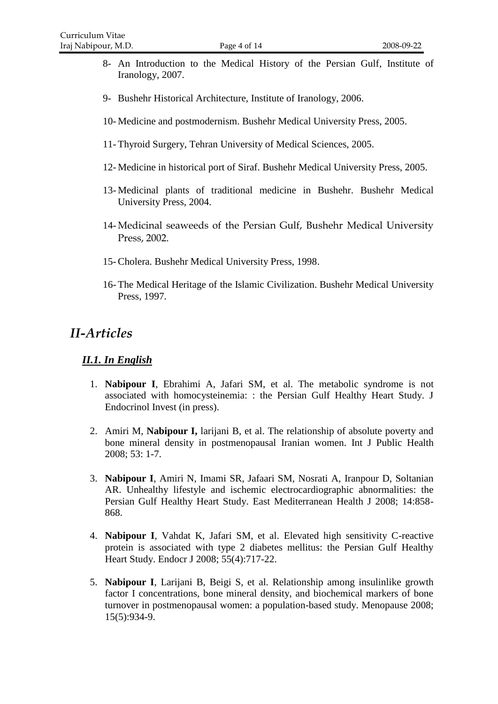- 8- An Introduction to the Medical History of the Persian Gulf, Institute of Iranology, 2007.
- 9- Bushehr Historical Architecture, Institute of Iranology, 2006.
- 10- Medicine and postmodernism. Bushehr Medical University Press, 2005.
- 11- Thyroid Surgery, Tehran University of Medical Sciences, 2005.
- 12- Medicine in historical port of Siraf. Bushehr Medical University Press, 2005.
- 13- Medicinal plants of traditional medicine in Bushehr. Bushehr Medical University Press, 2004.
- 14- Medicinal seaweeds of the Persian Gulf, Bushehr Medical University Press, 2002.
- 15- Cholera. Bushehr Medical University Press, 1998.
- 16- The Medical Heritage of the Islamic Civilization. Bushehr Medical University Press, 1997.

## *II-Articles*

#### *II.1. In English*

- 1. **Nabipour I**, Ebrahimi A, Jafari SM, et al. The metabolic syndrome is not associated with homocysteinemia: : the Persian Gulf Healthy Heart Study. J Endocrinol Invest (in press).
- 2. Amiri M, **Nabipour I,** larijani B, et al. The relationship of absolute poverty and bone mineral density in postmenopausal Iranian women. Int J Public Health 2008; 53: 1-7.
- 3. **Nabipour I**, Amiri N, Imami SR, Jafaari SM, Nosrati A, Iranpour D, Soltanian AR. Unhealthy lifestyle and ischemic electrocardiographic abnormalities: the Persian Gulf Healthy Heart Study. East Mediterranean Health J 2008; 14:858- 868.
- 4. **Nabipour I**, Vahdat K, Jafari SM, et al. Elevated high sensitivity C-reactive protein is associated with type 2 diabetes mellitus: the Persian Gulf Healthy Heart Study. Endocr J 2008; 55(4):717-22.
- 5. **Nabipour I**, Larijani B, Beigi S, et al. Relationship among insulinlike growth factor I concentrations, bone mineral density, and biochemical markers of bone turnover in postmenopausal women: a population-based study. Menopause 2008; 15(5):934-9.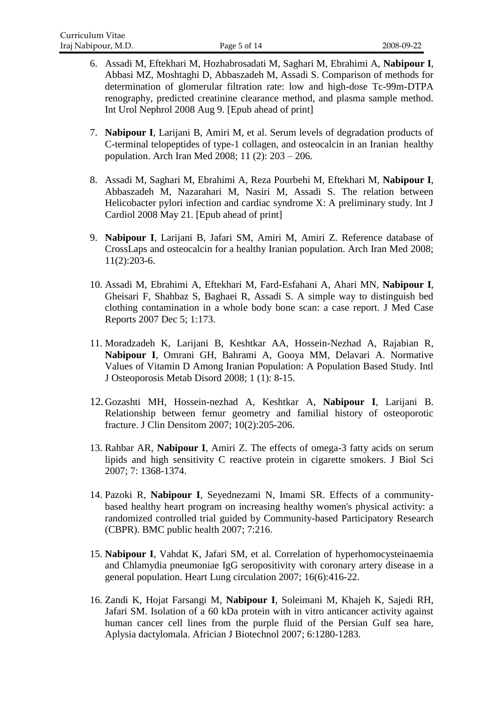- 6. Assadi M, Eftekhari M, Hozhabrosadati M, Saghari M, Ebrahimi A, **Nabipour I**, Abbasi MZ, Moshtaghi D, Abbaszadeh M, Assadi S. Comparison of methods for determination of glomerular filtration rate: low and high-dose Tc-99m-DTPA renography, predicted creatinine clearance method, and plasma sample method. Int Urol Nephrol 2008 Aug 9. [Epub ahead of print]
- 7. **Nabipour I**, Larijani B, Amiri M, et al. Serum levels of degradation products of C-terminal telopeptides of type-1 collagen, and osteocalcin in an Iranian healthy population. Arch Iran Med 2008; 11 (2): 203 – 206.
- 8. Assadi M, Saghari M, Ebrahimi A, Reza Pourbehi M, Eftekhari M, **Nabipour I**, Abbaszadeh M, Nazarahari M, Nasiri M, Assadi S. The relation between Helicobacter pylori infection and cardiac syndrome X: A preliminary study. Int J Cardiol 2008 May 21. [Epub ahead of print]
- 9. **Nabipour I**, Larijani B, Jafari SM, Amiri M, Amiri Z. Reference database of CrossLaps and osteocalcin for a healthy Iranian population. Arch Iran Med 2008; 11(2):203-6.
- 10. Assadi M, Ebrahimi A, Eftekhari M, Fard-Esfahani A, Ahari MN, **Nabipour I**, Gheisari F, Shahbaz S, Baghaei R, Assadi S. A simple way to distinguish bed clothing contamination in a whole body bone scan: a case report. J Med Case Reports 2007 Dec 5; 1:173.
- 11. Moradzadeh K, Larijani B, Keshtkar AA, Hossein-Nezhad A, Rajabian R, **Nabipour I**, Omrani GH, Bahrami A, Gooya MM, Delavari A. Normative Values of Vitamin D Among Iranian Population: A Population Based Study. Intl J Osteoporosis Metab Disord 2008; 1 (1): 8-15.
- 12. Gozashti MH, Hossein-nezhad A, Keshtkar A, **Nabipour I**, Larijani B. [Relationship between femur geometry and familial history of osteoporotic](http://www.sciencedirect.com/science?_ob=ArticleURL&_udi=B82YC-4NNF3VR-V&_user=10&_coverDate=06%2F30%2F2007&_alid=791142074&_rdoc=6&_fmt=high&_orig=search&_cdi=33055&_sort=d&_docanchor=&view=c&_ct=9&_acct=C000050221&_version=1&_urlVersion=0&_userid=10&md5=f47765b07e8f4efee5a5fa116442d33d)  [fracture.](http://www.sciencedirect.com/science?_ob=ArticleURL&_udi=B82YC-4NNF3VR-V&_user=10&_coverDate=06%2F30%2F2007&_alid=791142074&_rdoc=6&_fmt=high&_orig=search&_cdi=33055&_sort=d&_docanchor=&view=c&_ct=9&_acct=C000050221&_version=1&_urlVersion=0&_userid=10&md5=f47765b07e8f4efee5a5fa116442d33d) J Clin Densitom 2007; 10(2):205-206.
- 13. Rahbar AR, **Nabipour I**, Amiri Z. The effects of omega-3 fatty acids on serum lipids and high sensitivity C reactive protein in cigarette smokers. J Biol Sci 2007; 7: 1368-1374.
- 14. Pazoki R, **Nabipour I**, Seyednezami N, Imami SR. Effects of a communitybased healthy heart program on increasing healthy women's physical activity: a randomized controlled trial guided by Community-based Participatory Research (CBPR). BMC public health 2007; 7:216.
- 15. **Nabipour I**, Vahdat K, Jafari SM, et al. Correlation of hyperhomocysteinaemia and Chlamydia pneumoniae IgG seropositivity with coronary artery disease in a general population. Heart Lung circulation 2007; 16(6):416-22.
- 16. Zandi K, Hojat Farsangi M, **Nabipour I**, Soleimani M, Khajeh K, Sajedi RH, Jafari SM. Isolation of a 60 kDa protein with in vitro anticancer activity against human cancer cell lines from the purple fluid of the Persian Gulf sea hare, Aplysia dactylomala. Africian J Biotechnol 2007; 6:1280-1283.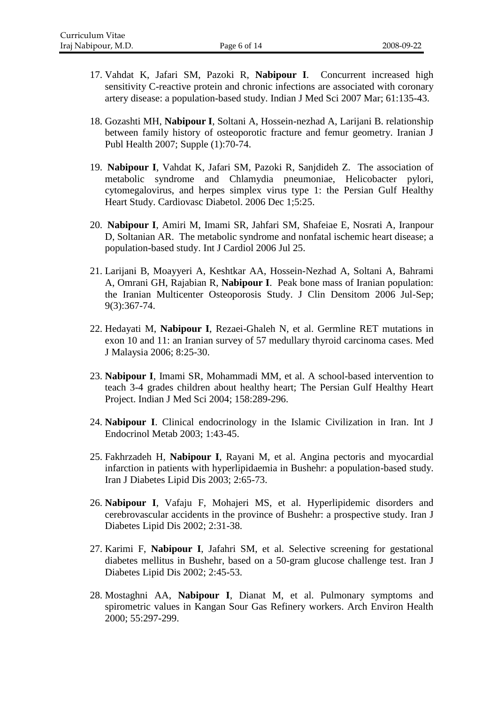- 17. Vahdat K, Jafari SM, Pazoki R, **Nabipour I**. Concurrent increased high sensitivity C-reactive protein and chronic infections are associated with coronary artery disease: a population-based study. Indian J Med Sci 2007 Mar; 61:135-43.
- 18. Gozashti MH, **Nabipour I**, Soltani A, Hossein-nezhad A, Larijani B. relationship between family history of osteoporotic fracture and femur geometry. Iranian J Publ Health 2007; Supple (1):70-74.
- 19. **Nabipour I**, Vahdat K, Jafari SM, Pazoki R, Sanjdideh Z. The association of metabolic syndrome and Chlamydia pneumoniae, Helicobacter pylori, cytomegalovirus, and herpes simplex virus type 1: the Persian Gulf Healthy Heart Study. Cardiovasc Diabetol. 2006 Dec 1;5:25.
- 20. **Nabipour I**, Amiri M, Imami SR, Jahfari SM, Shafeiae E, Nosrati A, Iranpour D, Soltanian AR. The metabolic syndrome and nonfatal ischemic heart disease; a population-based study. Int J Cardiol 2006 Jul 25.
- 21. Larijani B, Moayyeri A, Keshtkar AA, Hossein-Nezhad A, Soltani A, Bahrami A, Omrani GH, Rajabian R, **Nabipour I**. Peak bone mass of Iranian population: the Iranian Multicenter Osteoporosis Study. J Clin Densitom 2006 Jul-Sep; 9(3):367-74.
- 22. Hedayati M, **Nabipour I**, Rezaei-Ghaleh N, et al. Germline RET mutations in exon 10 and 11: an Iranian survey of 57 medullary thyroid carcinoma cases. Med J Malaysia 2006; 8:25-30.
- 23. **Nabipour I**, Imami SR, Mohammadi MM, et al. A school-based intervention to teach 3-4 grades children about healthy heart; The Persian Gulf Healthy Heart Project. Indian J Med Sci 2004; 158:289-296.
- 24. **Nabipour I**. Clinical endocrinology in the Islamic Civilization in Iran. Int J Endocrinol Metab 2003; 1:43-45.
- 25. Fakhrzadeh H, **Nabipour I**, Rayani M, et al. Angina pectoris and myocardial infarction in patients with hyperlipidaemia in Bushehr: a population-based study. Iran J Diabetes Lipid Dis 2003; 2:65-73.
- 26. **Nabipour I**, Vafaju F, Mohajeri MS, et al. Hyperlipidemic disorders and cerebrovascular accidents in the province of Bushehr: a prospective study. Iran J Diabetes Lipid Dis 2002; 2:31-38.
- 27. Karimi F, **Nabipour I**, Jafahri SM, et al. Selective screening for gestational diabetes mellitus in Bushehr, based on a 50-gram glucose challenge test. Iran J Diabetes Lipid Dis 2002; 2:45-53.
- 28. Mostaghni AA, **Nabipour I**, Dianat M, et al. Pulmonary symptoms and spirometric values in Kangan Sour Gas Refinery workers. Arch Environ Health 2000; 55:297-299.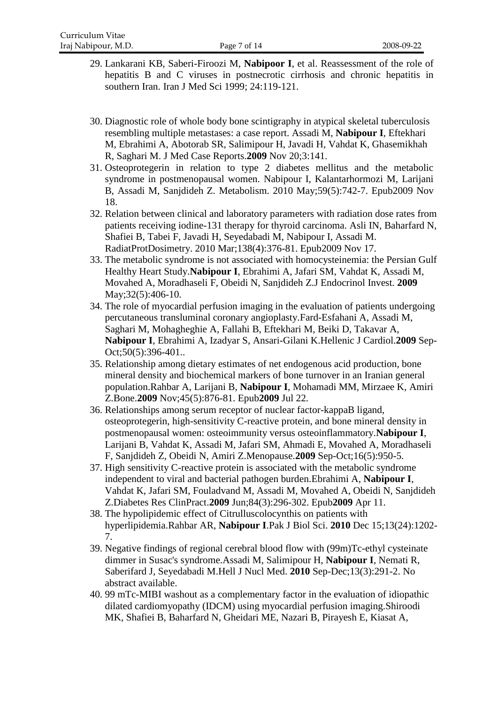- 29. Lankarani KB, Saberi-Firoozi M, **Nabipoor I**, et al. Reassessment of the role of hepatitis B and C viruses in postnecrotic cirrhosis and chronic hepatitis in southern Iran. Iran J Med Sci 1999; 24:119-121.
- 30. [Diagnostic role of whole body bone scintigraphy in atypical skeletal tuberculosis](http://www.ncbi.nlm.nih.gov/pubmed/19946546)  [resembling multiple metastases: a case report.](http://www.ncbi.nlm.nih.gov/pubmed/19946546) Assadi M, **Nabipour I**, Eftekhari M, Ebrahimi A, Abotorab SR, Salimipour H, Javadi H, Vahdat K, Ghasemikhah R, Saghari M. J Med Case Reports.**2009** Nov 20;3:141.
- 31. [Osteoprotegerin in relation to type 2 diabetes mellitus and the metabolic](http://www.ncbi.nlm.nih.gov/pubmed/19922962)  [syndrome in postmenopausal women.](http://www.ncbi.nlm.nih.gov/pubmed/19922962) Nabipour I, Kalantarhormozi M, Larijani B, Assadi M, Sanjdideh Z. Metabolism. 2010 May;59(5):742-7. Epub2009 Nov 18.
- 32. [Relation between clinical and laboratory parameters with radiation dose rates from](http://www.ncbi.nlm.nih.gov/pubmed/19919958)  [patients receiving iodine-131 therapy for thyroid carcinoma.](http://www.ncbi.nlm.nih.gov/pubmed/19919958) Asli IN, Baharfard N, Shafiei B, Tabei F, Javadi H, Seyedabadi M, Nabipour I, Assadi M. RadiatProtDosimetry. 2010 Mar;138(4):376-81. Epub2009 Nov 17.
- 33. [The metabolic syndrome is not associated with homocysteinemia: the Persian Gulf](http://www.ncbi.nlm.nih.gov/pubmed/19794288)  [Healthy Heart Study.](http://www.ncbi.nlm.nih.gov/pubmed/19794288)**Nabipour I**, Ebrahimi A, Jafari SM, Vahdat K, Assadi M, Movahed A, Moradhaseli F, Obeidi N, Sanjdideh Z.J Endocrinol Invest. **2009** May; 32(5): 406-10.
- 34. [The role of myocardial perfusion imaging in the evaluation of patients undergoing](http://www.ncbi.nlm.nih.gov/pubmed/19767281) [percutaneous transluminal coronary angioplasty.F](http://www.ncbi.nlm.nih.gov/pubmed/19767281)ard-Esfahani A, Assadi M, Saghari M, Mohagheghie A, Fallahi B, Eftekhari M, Beiki D, Takavar A, **Nabipour I**, Ebrahimi A, Izadyar S, Ansari-Gilani K.Hellenic J Cardiol.**2009** Sep-Oct;50(5):396-401..
- 35. [Relationship among dietary estimates of net endogenous acid production, bone](http://www.ncbi.nlm.nih.gov/pubmed/19631306)  [mineral density and biochemical markers of bone turnover in an Iranian general](http://www.ncbi.nlm.nih.gov/pubmed/19631306)  [population.R](http://www.ncbi.nlm.nih.gov/pubmed/19631306)ahbar A, Larijani B, **Nabipour I**, Mohamadi MM, Mirzaee K, Amiri Z.Bone.**2009** Nov;45(5):876-81. Epub**2009** Jul 22.
- 36. [Relationships among serum receptor of nuclear factor-kappaB ligand,](http://www.ncbi.nlm.nih.gov/pubmed/19387415)  [osteoprotegerin, high-sensitivity C-reactive protein, and bone](http://www.ncbi.nlm.nih.gov/pubmed/19387415) mineral density in [postmenopausal women: osteoimmunity versus osteoinflammatory.](http://www.ncbi.nlm.nih.gov/pubmed/19387415)**Nabipour I**, Larijani B, Vahdat K, Assadi M, Jafari SM, Ahmadi E, Movahed A, Moradhaseli F, Sanjdideh Z, Obeidi N, Amiri Z.Menopause.**2009** Sep-Oct;16(5):950-5.
- 37. [High sensitivity C-reactive protein is associated with the metabolic syndrome](http://www.ncbi.nlm.nih.gov/pubmed/19362745)  [independent to viral and bacterial pathogen burden.E](http://www.ncbi.nlm.nih.gov/pubmed/19362745)brahimi A, **Nabipour I**, Vahdat K, Jafari SM, Fouladvand M, Assadi M, Movahed A, Obeidi N, Sanjdideh Z.Diabetes Res ClinPract.**2009** Jun;84(3):296-302. Epub**2009** Apr 11.
- 38. [The hypolipidemic effect of Citrulluscolocynthis on patients with](http://www.ncbi.nlm.nih.gov/pubmed/21313901)  [hyperlipidemia.R](http://www.ncbi.nlm.nih.gov/pubmed/21313901)ahbar AR, **Nabipour I**.Pak J Biol Sci. **2010** Dec 15;13(24):1202- 7.
- 39. [Negative findings of regional cerebral blood flow with \(99m\)Tc-ethyl cysteinate](http://www.ncbi.nlm.nih.gov/pubmed/21193892)  [dimmer in Susac's syndrome.A](http://www.ncbi.nlm.nih.gov/pubmed/21193892)ssadi M, Salimipour H, **Nabipour I**, Nemati R, Saberifard J, Seyedabadi M.Hell J Nucl Med. **2010** Sep-Dec;13(3):291-2. No abstract available.
- 40. 99 [mTc-MIBI washout as a complementary factor in the evaluation of idiopathic](http://www.ncbi.nlm.nih.gov/pubmed/21188639)  [dilated cardiomyopathy \(IDCM\) using myocardial perfusion imaging.S](http://www.ncbi.nlm.nih.gov/pubmed/21188639)hiroodi MK, Shafiei B, Baharfard N, Gheidari ME, Nazari B, Pirayesh E, Kiasat A,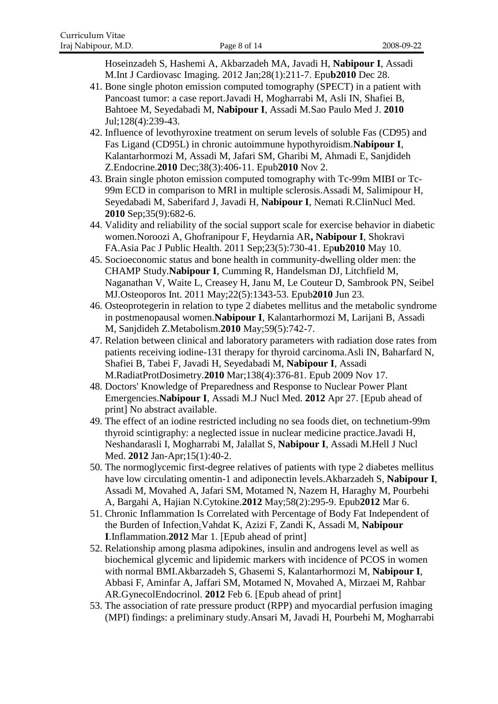Hoseinzadeh S, Hashemi A, Akbarzadeh MA, Javadi H, **Nabipour I**, Assadi M.Int J Cardiovasc Imaging. 2012 Jan;28(1):211-7. Epu**b2010** Dec 28.

- 41. [Bone single photon emission computed tomography \(SPECT\) in a patient with](http://www.ncbi.nlm.nih.gov/pubmed/21120438)  [Pancoast tumor: a case report.J](http://www.ncbi.nlm.nih.gov/pubmed/21120438)avadi H, Mogharrabi M, Asli IN, Shafiei B, Bahtoee M, Seyedabadi M, **Nabipour I**, Assadi M.Sao Paulo Med J. **2010** Jul;128(4):239-43.
- 42. [Influence of levothyroxine treatment on serum levels of soluble Fas \(CD95\) and](http://www.ncbi.nlm.nih.gov/pubmed/21042884)  [Fas Ligand \(CD95L\) in chronic autoimmune hypothyroidism.](http://www.ncbi.nlm.nih.gov/pubmed/21042884)**Nabipour I**, Kalantarhormozi M, Assadi M, Jafari SM, Gharibi M, Ahmadi E, Sanjdideh Z.Endocrine.**2010** Dec;38(3):406-11. Epub**2010** Nov 2.
- 43. [Brain single photon emission computed tomography with Tc-99m MIBI or Tc-](http://www.ncbi.nlm.nih.gov/pubmed/20706041)[99m ECD in comparison to MRI in multiple sclerosis.A](http://www.ncbi.nlm.nih.gov/pubmed/20706041)ssadi M, Salimipour H, Seyedabadi M, Saberifard J, Javadi H, **Nabipour I**, Nemati R.ClinNucl Med. **2010** Sep;35(9):682-6.
- 44. [Validity and reliability of the social support scale for](http://www.ncbi.nlm.nih.gov/pubmed/20460282) exercise behavior in diabetic [women.N](http://www.ncbi.nlm.nih.gov/pubmed/20460282)oroozi A, Ghofranipour F, Heydarnia AR**, Nabipour I**, Shokravi FA.Asia Pac J Public Health. 2011 Sep;23(5):730-41. Ep**ub2010** May 10.
- 45. [Socioeconomic status and bone health in community-dwelling older men: the](http://www.ncbi.nlm.nih.gov/pubmed/20571771)  [CHAMP Study.](http://www.ncbi.nlm.nih.gov/pubmed/20571771)**Nabipour I**, Cumming R, Handelsman DJ, Litchfield M, Naganathan V, Waite L, Creasey H, Janu M, Le Couteur D, Sambrook PN, Seibel MJ.Osteoporos Int. 2011 May;22(5):1343-53. Epub**2010** Jun 23.
- 46. [Osteoprotegerin in relation to type 2 diabetes mellitus and the metabolic syndrome](http://www.ncbi.nlm.nih.gov/pubmed/19922962)  [in postmenopausal women.](http://www.ncbi.nlm.nih.gov/pubmed/19922962)**Nabipour I**, Kalantarhormozi M, Larijani B, Assadi M, Sanjdideh Z.Metabolism.**2010** May;59(5):742-7.
- 47. [Relation between clinical and laboratory parameters with radiation dose rates from](http://www.ncbi.nlm.nih.gov/pubmed/19919958)  [patients receiving iodine-131 therapy for thyroid carcinoma.A](http://www.ncbi.nlm.nih.gov/pubmed/19919958)sli IN, Baharfard N, Shafiei B, Tabei F, Javadi H, Seyedabadi M, **Nabipour I**, Assadi M.RadiatProtDosimetry.**2010** Mar;138(4):376-81. Epub 2009 Nov 17.
- 48. [Doctors' Knowledge of Preparedness and Response to Nuclear Power Plant](http://www.ncbi.nlm.nih.gov/pubmed/22544948)  [Emergencies.](http://www.ncbi.nlm.nih.gov/pubmed/22544948)**Nabipour I**, Assadi M.J Nucl Med. **2012** Apr 27. [Epub ahead of print] No abstract available.
- 49. [The effect of an iodine restricted including no sea foods diet, on technetium-99m](http://www.ncbi.nlm.nih.gov/pubmed/22413111)  [thyroid scintigraphy: a neglected issue in nuclear medicine practice.J](http://www.ncbi.nlm.nih.gov/pubmed/22413111)avadi H, Neshandarasli I, Mogharrabi M, Jalallat S, **Nabipour I**, Assadi M.Hell J Nucl Med. **2012** Jan-Apr;15(1):40-2.
- 50. [The normoglycemic first-degree relatives of patients with type 2 diabetes mellitus](http://www.ncbi.nlm.nih.gov/pubmed/22398372)  [have low circulating omentin-1 and adiponectin levels.A](http://www.ncbi.nlm.nih.gov/pubmed/22398372)kbarzadeh S, **Nabipour I**, Assadi M, Movahed A, Jafari SM, Motamed N, Nazem H, Haraghy M, Pourbehi A, Bargahi A, Hajian N.Cytokine.**2012** May;58(2):295-9. Epub**2012** Mar 6.
- 51. [Chronic Inflammation Is Correlated with Percentage of Body Fat Independent of](http://www.ncbi.nlm.nih.gov/pubmed/22382515)  [the Burden of Infection.V](http://www.ncbi.nlm.nih.gov/pubmed/22382515)ahdat K, Azizi F, Zandi K, Assadi M, **Nabipour I**.Inflammation.**2012** Mar 1. [Epub ahead of print]
- 52. [Relationship among plasma adipokines, insulin and androgens level as well as](http://www.ncbi.nlm.nih.gov/pubmed/22309615)  [biochemical glycemic and lipidemic markers with incidence of PCOS in women](http://www.ncbi.nlm.nih.gov/pubmed/22309615)  [with normal BMI.A](http://www.ncbi.nlm.nih.gov/pubmed/22309615)kbarzadeh S, Ghasemi S, Kalantarhormozi M, **Nabipour I**, Abbasi F, Aminfar A, Jaffari SM, Motamed N, Movahed A, Mirzaei M, Rahbar AR.GynecolEndocrinol. **2012** Feb 6. [Epub ahead of print]
- 53. [The association of rate pressure product \(RPP\) and myocardial perfusion imaging](http://www.ncbi.nlm.nih.gov/pubmed/22301391)  [\(MPI\) findings: a preliminary study.A](http://www.ncbi.nlm.nih.gov/pubmed/22301391)nsari M, Javadi H, Pourbehi M, Mogharrabi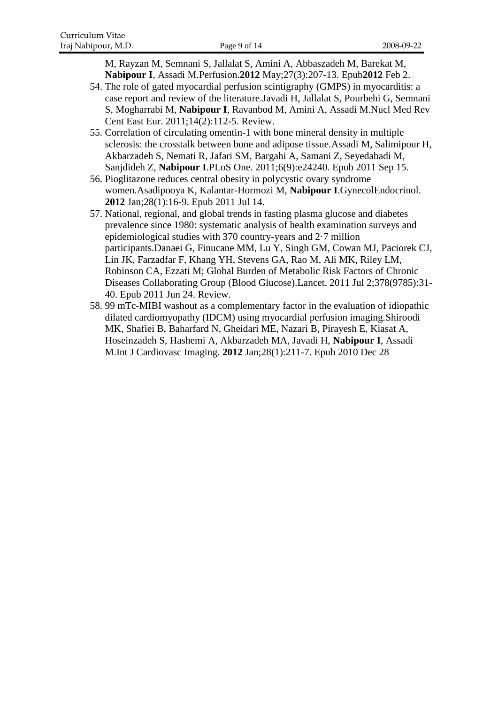M, Rayzan M, Semnani S, Jallalat S, Amini A, Abbaszadeh M, Barekat M, **Nabipour I**, Assadi M.Perfusion.**2012** May;27(3):207-13. Epub**2012** Feb 2.

- 54. [The role of gated myocardial perfusion scintigraphy \(GMPS\) in myocarditis: a](http://www.ncbi.nlm.nih.gov/pubmed/22219153)  [case report and review of the literature.J](http://www.ncbi.nlm.nih.gov/pubmed/22219153)avadi H, Jallalat S, Pourbehi G, Semnani S, Mogharrabi M, **Nabipour I**, Ravanbod M, Amini A, Assadi M.Nucl Med Rev Cent East Eur. 2011;14(2):112-5. Review.
- 55. [Correlation of circulating omentin-1 with bone mineral density in multiple](http://www.ncbi.nlm.nih.gov/pubmed/21935388)  [sclerosis: the crosstalk between bone and adipose tissue.A](http://www.ncbi.nlm.nih.gov/pubmed/21935388)ssadi M, Salimipour H, Akbarzadeh S, Nemati R, Jafari SM, Bargahi A, Samani Z, Seyedabadi M, Sanjdideh Z, **Nabipour I**.PLoS One. 2011;6(9):e24240. Epub 2011 Sep 15.
- 56. [Pioglitazone reduces central obesity](http://www.ncbi.nlm.nih.gov/pubmed/21756079) in polycystic ovary syndrome [women.A](http://www.ncbi.nlm.nih.gov/pubmed/21756079)sadipooya K, Kalantar-Hormozi M, **Nabipour I**.GynecolEndocrinol. **2012** Jan;28(1):16-9. Epub 2011 Jul 14.
- 57. [National, regional, and global trends in fasting plasma glucose and diabetes](http://www.ncbi.nlm.nih.gov/pubmed/21705069)  [prevalence since 1980: systematic analysis of health examination surveys and](http://www.ncbi.nlm.nih.gov/pubmed/21705069)  [epidemiological studies with 370 country-years and 2·7 million](http://www.ncbi.nlm.nih.gov/pubmed/21705069)  [participants.D](http://www.ncbi.nlm.nih.gov/pubmed/21705069)anaei G, Finucane MM, Lu Y, Singh GM, Cowan MJ, Paciorek CJ, Lin JK, Farzadfar F, Khang YH, Stevens GA, Rao M, Ali MK, Riley LM, Robinson CA, Ezzati M; Global Burden of Metabolic Risk Factors of Chronic Diseases Collaborating Group (Blood Glucose).Lancet. 2011 Jul 2;378(9785):31- 40. Epub 2011 Jun 24. Review.
- 58. 99 [mTc-MIBI washout as a complementary factor in the evaluation of idiopathic](http://www.ncbi.nlm.nih.gov/pubmed/21188639)  [dilated cardiomyopathy \(IDCM\) using myocardial perfusion imaging.S](http://www.ncbi.nlm.nih.gov/pubmed/21188639)hiroodi MK, Shafiei B, Baharfard N, Gheidari ME, Nazari B, Pirayesh E, Kiasat A, Hoseinzadeh S, Hashemi A, Akbarzadeh MA, Javadi H, **Nabipour I**, Assadi M.Int J Cardiovasc Imaging. **2012** Jan;28(1):211-7. Epub 2010 Dec 28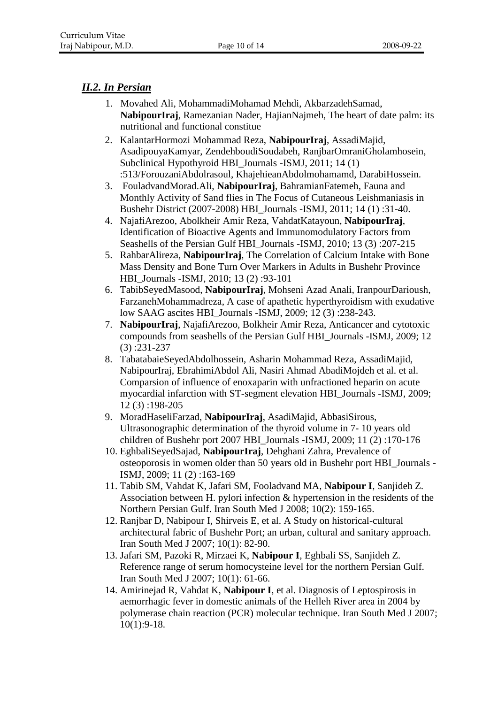### *II.2. In Persian*

- 1. Movahed Ali, MohammadiMohamad Mehdi, AkbarzadehSamad, **NabipourIraj**, Ramezanian Nader, HajianNajmeh, The heart of date palm: its nutritional and functional constitue
- 2. KalantarHormozi Mohammad Reza, **NabipourIraj**, AssadiMajid, AsadipouyaKamyar, ZendehboudiSoudabeh, RanjbarOmraniGholamhosein, Subclinical Hypothyroid HBI\_Journals -ISMJ, 2011; 14 (1) :513/ForouzaniAbdolrasoul, KhajehieanAbdolmohamamd, DarabiHossein.
- 3. FouladvandMorad.Ali, **NabipourIraj**, BahramianFatemeh, Fauna and Monthly Activity of Sand flies in The Focus of Cutaneous Leishmaniasis in Bushehr District (2007-2008) HBI\_Journals -ISMJ, 2011; 14 (1) :31-40.
- 4. NajafiArezoo, Abolkheir Amir Reza, VahdatKatayoun, **NabipourIraj**, Identification of Bioactive Agents and Immunomodulatory Factors from Seashells of the Persian Gulf HBI\_Journals -ISMJ, 2010; 13 (3) :207-215
- 5. RahbarAlireza, **NabipourIraj**, The Correlation of Calcium Intake with Bone Mass Density and Bone Turn Over Markers in Adults in Bushehr Province HBI\_Journals -ISMJ, 2010; 13 (2) :93-101
- 6. TabibSeyedMasood, **NabipourIraj**, Mohseni Azad Anali, IranpourDarioush, FarzanehMohammadreza, A case of apathetic hyperthyroidism with exudative low SAAG ascites HBI\_Journals -ISMJ, 2009; 12 (3) :238-243.
- 7. **NabipourIraj**, NajafiArezoo, Bolkheir Amir Reza, Anticancer and cytotoxic compounds from seashells of the Persian Gulf HBI\_Journals -ISMJ, 2009; 12 (3) :231-237
- 8. TabatabaieSeyedAbdolhossein, Asharin Mohammad Reza, AssadiMajid, NabipourIraj, EbrahimiAbdol Ali, Nasiri Ahmad AbadiMojdeh et al. et al. Comparsion of influence of enoxaparin with unfractioned heparin on acute myocardial infarction with ST-segment elevation HBI\_Journals -ISMJ, 2009; 12 (3) :198-205
- 9. MoradHaseliFarzad, **NabipourIraj**, AsadiMajid, AbbasiSirous, Ultrasonographic determination of the thyroid volume in 7- 10 years old children of Bushehr port 2007 HBI\_Journals -ISMJ, 2009; 11 (2) :170-176
- 10. EghbaliSeyedSajad, **NabipourIraj**, Dehghani Zahra, Prevalence of osteoporosis in women older than 50 years old in Bushehr port HBI\_Journals - ISMJ, 2009; 11 (2) :163-169
- 11. Tabib SM, Vahdat K, Jafari SM, Fooladvand MA, **Nabipour I**, Sanjideh Z. Association between H. pylori infection & hypertension in the residents of the Northern Persian Gulf. Iran South Med J 2008; 10(2): 159-165.
- 12. Ranjbar D, Nabipour I, Shirveis E, et al. A Study on historical-cultural architectural fabric of Bushehr Port; an urban, cultural and sanitary approach. Iran South Med J 2007; 10(1): 82-90.
- 13. Jafari SM, Pazoki R, Mirzaei K, **Nabipour I**, Eghbali SS, Sanjideh Z. Reference range of serum homocysteine level for the northern Persian Gulf. Iran South Med J 2007; 10(1): 61-66.
- 14. Amirinejad R, Vahdat K, **Nabipour I**, et al. Diagnosis of Leptospirosis in aemorrhagic fever in domestic animals of the Helleh River area in 2004 by polymerase chain reaction (PCR) molecular technique. Iran South Med J 2007; 10(1):9-18.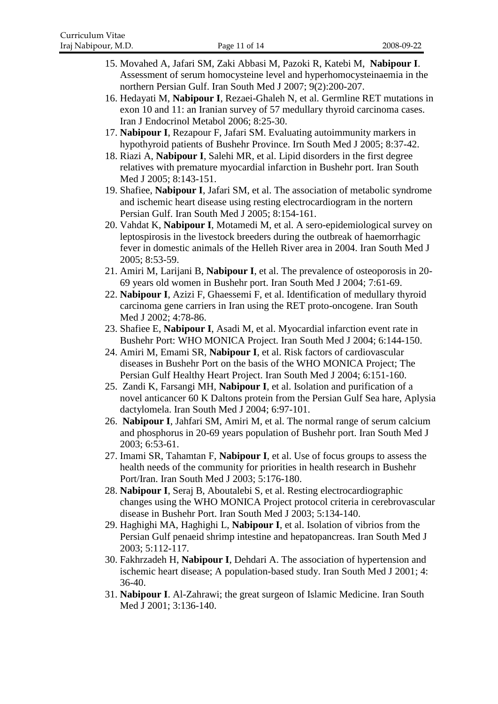- 15. Movahed A, Jafari SM, Zaki Abbasi M, Pazoki R, Katebi M, **Nabipour I**. Assessment of serum homocysteine level and hyperhomocysteinaemia in the northern Persian Gulf. Iran South Med J 2007; 9(2):200-207.
- 16. Hedayati M, **Nabipour I**, Rezaei-Ghaleh N, et al. Germline RET mutations in exon 10 and 11: an Iranian survey of 57 medullary thyroid carcinoma cases. Iran J Endocrinol Metabol 2006; 8:25-30.
- 17. **Nabipour I**, Rezapour F, Jafari SM. Evaluating autoimmunity markers in hypothyroid patients of Bushehr Province. Irn South Med J 2005; 8:37-42.
- 18. Riazi A, **Nabipour I**, Salehi MR, et al. Lipid disorders in the first degree relatives with premature myocardial infarction in Bushehr port. Iran South Med J 2005; 8:143-151.
- 19. Shafiee, **Nabipour I**, Jafari SM, et al. The association of metabolic syndrome and ischemic heart disease using resting electrocardiogram in the nortern Persian Gulf. Iran South Med J 2005; 8:154-161.
- 20. Vahdat K, **Nabipour I**, Motamedi M, et al. A sero-epidemiological survey on leptospirosis in the livestock breeders during the outbreak of haemorrhagic fever in domestic animals of the Helleh River area in 2004. Iran South Med J 2005; 8:53-59.
- 21. Amiri M, Larijani B, **Nabipour I**, et al. The prevalence of osteoporosis in 20- 69 years old women in Bushehr port. Iran South Med J 2004; 7:61-69.
- 22. **Nabipour I**, Azizi F, Ghaessemi F, et al. Identification of medullary thyroid carcinoma gene carriers in Iran using the RET proto-oncogene. Iran South Med J 2002; 4:78-86.
- 23. Shafiee E, **Nabipour I**, Asadi M, et al. Myocardial infarction event rate in Bushehr Port: WHO MONICA Project. Iran South Med J 2004; 6:144-150.
- 24. Amiri M, Emami SR, **Nabipour I**, et al. Risk factors of cardiovascular diseases in Bushehr Port on the basis of the WHO MONICA Project; The Persian Gulf Healthy Heart Project. Iran South Med J 2004; 6:151-160.
- 25. Zandi K, Farsangi MH, **Nabipour I**, et al. Isolation and purification of a novel anticancer 60 K Daltons protein from the Persian Gulf Sea hare, Aplysia dactylomela. Iran South Med J 2004; 6:97-101.
- 26. **Nabipour I**, Jahfari SM, Amiri M, et al. The normal range of serum calcium and phosphorus in 20-69 years population of Bushehr port. Iran South Med J 2003; 6:53-61.
- 27. Imami SR, Tahamtan F, **Nabipour I**, et al. Use of focus groups to assess the health needs of the community for priorities in health research in Bushehr Port/Iran. Iran South Med J 2003; 5:176-180.
- 28. **Nabipour I**, Seraj B, Aboutalebi S, et al. Resting electrocardiographic changes using the WHO MONICA Project protocol criteria in cerebrovascular disease in Bushehr Port. Iran South Med J 2003; 5:134-140.
- 29. Haghighi MA, Haghighi L, **Nabipour I**, et al. Isolation of vibrios from the Persian Gulf penaeid shrimp intestine and hepatopancreas. Iran South Med J 2003; 5:112-117.
- 30. Fakhrzadeh H, **Nabipour I**, Dehdari A. The association of hypertension and ischemic heart disease; A population-based study. Iran South Med J 2001; 4: 36-40.
- 31. **Nabipour I**. Al-Zahrawi; the great surgeon of Islamic Medicine. Iran South Med J 2001; 3:136-140.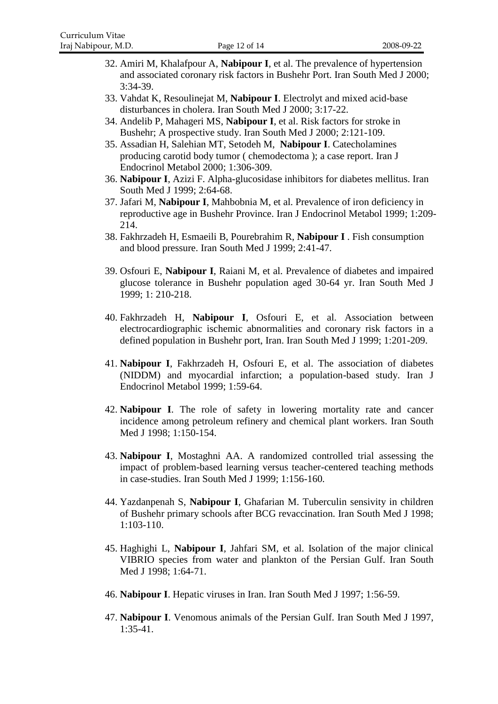- 32. Amiri M, Khalafpour A, **Nabipour I**, et al. The prevalence of hypertension and associated coronary risk factors in Bushehr Port. Iran South Med J 2000; 3:34-39.
- 33. Vahdat K, Resoulinejat M, **Nabipour I**. Electrolyt and mixed acid-base disturbances in cholera. Iran South Med J 2000; 3:17-22.
- 34. Andelib P, Mahageri MS, **Nabipour I**, et al. Risk factors for stroke in Bushehr; A prospective study. Iran South Med J 2000; 2:121-109.
- 35. Assadian H, Salehian MT, Setodeh M, **Nabipour I**. Catecholamines producing carotid body tumor ( chemodectoma ); a case report. Iran J Endocrinol Metabol 2000; 1:306-309.
- 36. **Nabipour I**, Azizi F. Alpha-glucosidase inhibitors for diabetes mellitus. Iran South Med J 1999; 2:64-68.
- 37. Jafari M, **Nabipour I**, Mahbobnia M, et al. Prevalence of iron deficiency in reproductive age in Bushehr Province. Iran J Endocrinol Metabol 1999; 1:209- 214.
- 38. Fakhrzadeh H, Esmaeili B, Pourebrahim R, **Nabipour I** . Fish consumption and blood pressure. Iran South Med J 1999; 2:41-47.
- 39. Osfouri E, **Nabipour I**, Raiani M, et al. Prevalence of diabetes and impaired glucose tolerance in Bushehr population aged 30-64 yr. Iran South Med J 1999; 1: 210-218.
- 40. Fakhrzadeh H, **Nabipour I**, Osfouri E, et al. Association between electrocardiographic ischemic abnormalities and coronary risk factors in a defined population in Bushehr port, Iran. Iran South Med J 1999; 1:201-209.
- 41. **Nabipour I**, Fakhrzadeh H, Osfouri E, et al. The association of diabetes (NIDDM) and myocardial infarction; a population-based study. Iran J Endocrinol Metabol 1999; 1:59-64.
- 42. **Nabipour I**. The role of safety in lowering mortality rate and cancer incidence among petroleum refinery and chemical plant workers. Iran South Med J 1998; 1:150-154.
- 43. **Nabipour I**, Mostaghni AA. A randomized controlled trial assessing the impact of problem-based learning versus teacher-centered teaching methods in case-studies. Iran South Med J 1999; 1:156-160.
- 44. Yazdanpenah S, **Nabipour I**, Ghafarian M. Tuberculin sensivity in children of Bushehr primary schools after BCG revaccination. Iran South Med J 1998; 1:103-110.
- 45. Haghighi L, **Nabipour I**, Jahfari SM, et al. Isolation of the major clinical VIBRIO species from water and plankton of the Persian Gulf. Iran South Med J 1998; 1:64-71.
- 46. **Nabipour I**. Hepatic viruses in Iran. Iran South Med J 1997; 1:56-59.
- 47. **Nabipour I**. Venomous animals of the Persian Gulf. Iran South Med J 1997, 1:35-41.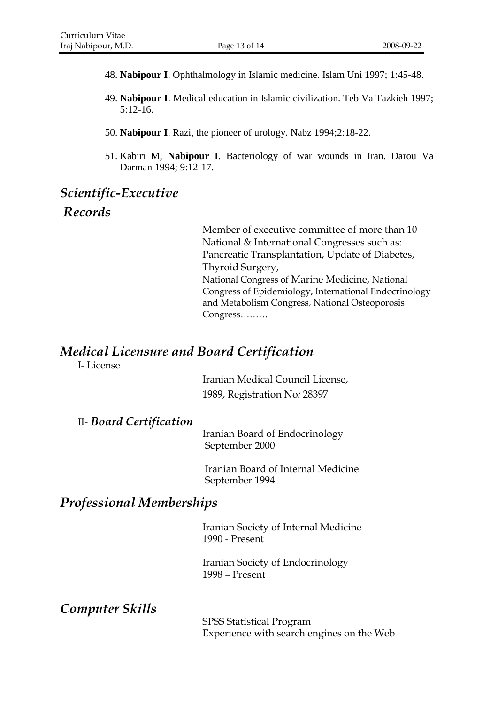- 48. **Nabipour I**. Ophthalmology in Islamic medicine. Islam Uni 1997; 1:45-48.
- 49. **Nabipour I**. Medical education in Islamic civilization. Teb Va Tazkieh 1997; 5:12-16.
- 50. **Nabipour I**. Razi, the pioneer of urology. Nabz 1994;2:18-22.
- 51. Kabiri M, **Nabipour I**. Bacteriology of war wounds in Iran. Darou Va Darman 1994; 9:12-17.

## *Scientific-Executive Records*

Member of executive committee of more than 10 National & International Congresses such as: Pancreatic Transplantation, Update of Diabetes, Thyroid Surgery, National Congress of Marine Medicine, National Congress of Epidemiology, International Endocrinology and Metabolism Congress, National Osteoporosis Congress………

## *Medical Licensure and Board Certification*

I- License

Iranian Medical Council License, 1989, Registration No*:* 28397

#### II- *Board Certification*

Iranian Board of Endocrinology September 2000

Iranian Board of Internal Medicine September 1994

## *Professional Memberships*

Iranian Society of Internal Medicine 1990 - Present

Iranian Society of Endocrinology 1998 – Present

*Computer Skills*

SPSS Statistical Program Experience with search engines on the Web